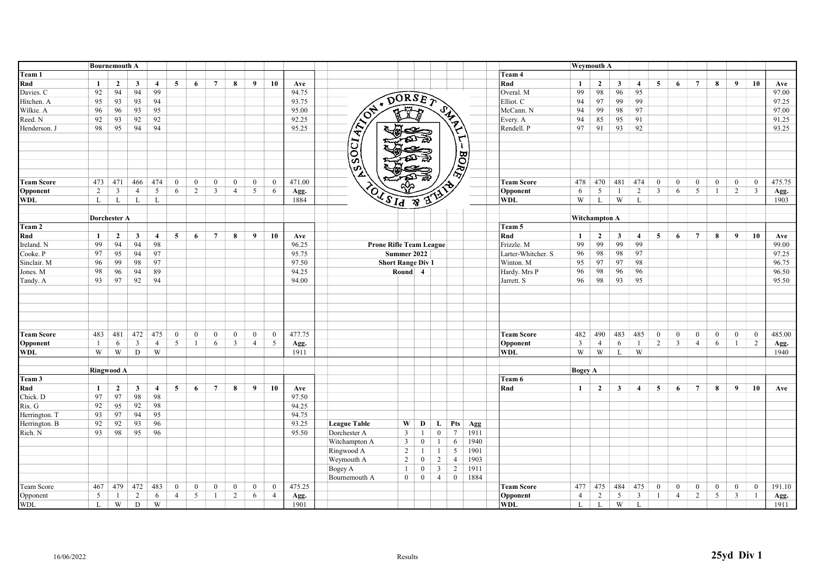|                   | <b>Bournemouth A</b> |                |                |                |                 |                |                 |                |                 |                |        |                                 |                            |                |                |      |                    |                | <b>Weymouth A</b>    |              |                |                         |                  |                 |                |                  |                  |        |
|-------------------|----------------------|----------------|----------------|----------------|-----------------|----------------|-----------------|----------------|-----------------|----------------|--------|---------------------------------|----------------------------|----------------|----------------|------|--------------------|----------------|----------------------|--------------|----------------|-------------------------|------------------|-----------------|----------------|------------------|------------------|--------|
| Team 1            |                      |                |                |                |                 |                |                 |                |                 |                |        |                                 |                            |                |                |      | Team 4             |                |                      |              |                |                         |                  |                 |                |                  |                  |        |
| Rnd               | -1                   | $\overline{2}$ | $\mathbf{3}$   | $\overline{4}$ | 5               | 6              | $7\phantom{.0}$ | 8              | 9               | 10             | Ave    |                                 |                            |                |                |      | Rnd                | 1              | $\overline{2}$       | $\mathbf{3}$ | $\overline{4}$ | 5                       | 6                | $7\overline{ }$ | 8              | 9                | 10               | Ave    |
| Davies. C         | 92                   | 94             | 94             | 99             |                 |                |                 |                |                 |                | 94.75  |                                 |                            |                |                |      | Overal. M          | 99             | 98                   | 96           | 95             |                         |                  |                 |                |                  |                  | 97.00  |
| Hitchen. A        | 95                   | 93             | 93             | 94             |                 |                |                 |                |                 |                | 93.75  | $\pmb{\pi}$                     | DORSE?                     |                |                |      | Elliot. C          | 94             | 97                   | 99           | 99             |                         |                  |                 |                |                  |                  | 97.25  |
| Wilkie. A         | 96                   | 96             | 93             | 95             |                 |                |                 |                |                 |                | 95.00  | ৰ্কুশ্ব                         |                            |                |                |      | McCann. N          | 94             | 99                   | 98           | 97             |                         |                  |                 |                |                  |                  | 97.00  |
| Reed. N           | 92                   | 93             | 92             | 92             |                 |                |                 |                |                 |                | 92.25  |                                 |                            |                |                |      | Every. A           | 94             | 85                   | 95           | 91             |                         |                  |                 |                |                  |                  | 91.25  |
| Henderson. J      | 98                   | 95             | 94             | 94             |                 |                |                 |                |                 |                | 95.25  | ₩ح                              |                            |                |                |      | Rendell. P         | 97             | 91                   | 93           | 92             |                         |                  |                 |                |                  |                  | 93.25  |
|                   |                      |                |                |                |                 |                |                 |                |                 |                |        | <b>CRIMER</b>                   |                            |                | SIRTY TO BORD  |      |                    |                |                      |              |                |                         |                  |                 |                |                  |                  |        |
|                   |                      |                |                |                |                 |                |                 |                |                 |                |        |                                 |                            |                |                |      |                    |                |                      |              |                |                         |                  |                 |                |                  |                  |        |
|                   |                      |                |                |                |                 |                |                 |                |                 |                |        |                                 |                            |                |                |      |                    |                |                      |              |                |                         |                  |                 |                |                  |                  |        |
|                   |                      |                |                |                |                 |                |                 |                |                 |                |        | ESSOCI,                         |                            |                |                |      |                    |                |                      |              |                |                         |                  |                 |                |                  |                  |        |
| <b>Team Score</b> | 473                  | 471            | 466            | 474            | $\mathbf{0}$    | $\overline{0}$ | $\mathbf{0}$    | $\Omega$       | $\bf{0}$        | $\mathbf{0}$   | 471.00 |                                 |                            |                |                |      | <b>Team Score</b>  | 478            | 470                  | 481          | 474            | $\mathbf{0}$            | $\mathbf{0}$     | $\mathbf{0}$    | $\mathbf{0}$   | $\overline{0}$   | $\mathbf{0}$     | 475.75 |
| Opponent          | 2                    | $\mathfrak{Z}$ | $\overline{4}$ | 5              | 6               | 2              | $\overline{3}$  | $\overline{4}$ | $5\overline{)}$ | 6              | Agg.   |                                 |                            |                |                |      | Opponent           | 6              | 5                    | -1           | $\overline{2}$ | $\overline{\mathbf{3}}$ | 6                | 5               | -1             | 2                | $\overline{3}$   | Agg.   |
| <b>WDL</b>        | L                    | L              | L              | $\mathbf{L}$   |                 |                |                 |                |                 |                | 1884   | OF SIA &                        | $\tilde{a}^{\prime\prime}$ |                |                |      | WDL                | W              | L                    | W            | L              |                         |                  |                 |                |                  |                  | 1903   |
|                   | Dorchester A         |                |                |                |                 |                |                 |                |                 |                |        |                                 |                            |                |                |      |                    |                | <b>Witchampton A</b> |              |                |                         |                  |                 |                |                  |                  |        |
| Team 2            |                      |                |                |                |                 |                |                 |                |                 |                |        |                                 |                            |                |                |      | Team 5             |                |                      |              |                |                         |                  |                 |                |                  |                  |        |
| Rnd               | $\mathbf{1}$         | $\overline{2}$ | $\mathbf{3}$   | $\overline{4}$ | 5               | 6              | $\overline{7}$  | 8              | 9               | 10             | Ave    |                                 |                            |                |                |      | Rnd                | 1              | $\overline{2}$       | $\mathbf{3}$ | $\overline{4}$ | 5                       | 6                | $\overline{7}$  | 8              | 9                | 10               | Ave    |
| Ireland. N        | 99                   | 94             | 94             | 98             |                 |                |                 |                |                 |                | 96.25  | Prone Rifle Team League         |                            |                |                |      | Frizzle. M         | 99             | 99                   | 99           | 99             |                         |                  |                 |                |                  |                  | 99.00  |
| Cooke. P          | 97                   | 95             | 94             | 97             |                 |                |                 |                |                 |                | 95.75  | Summer 2022                     |                            |                |                |      | Larter-Whitcher. S | 96             | 98                   | 98           | 97             |                         |                  |                 |                |                  |                  | 97.25  |
| Sinclair. M       | 96                   | 99             | 98             | 97             |                 |                |                 |                |                 |                | 97.50  | <b>Short Range Div 1</b>        |                            |                |                |      | Winton. M          | 95             | 97                   | 97           | 98             |                         |                  |                 |                |                  |                  | 96.75  |
| Jones. M          | 98                   | 96             | 94             | 89             |                 |                |                 |                |                 |                | 94.25  |                                 | Round 4                    |                |                |      | Hardy. Mrs P       | 96             | 98                   | 96           | 96             |                         |                  |                 |                |                  |                  | 96.50  |
| Tandy. A          | 93                   | 97             | 92             | 94             |                 |                |                 |                |                 |                | 94.00  |                                 |                            |                |                |      | Jarrett. S         | 96             | 98                   | 93           | 95             |                         |                  |                 |                |                  |                  | 95.50  |
|                   |                      |                |                |                |                 |                |                 |                |                 |                |        |                                 |                            |                |                |      |                    |                |                      |              |                |                         |                  |                 |                |                  |                  |        |
|                   |                      |                |                |                |                 |                |                 |                |                 |                |        |                                 |                            |                |                |      |                    |                |                      |              |                |                         |                  |                 |                |                  |                  |        |
|                   |                      |                |                |                |                 |                |                 |                |                 |                |        |                                 |                            |                |                |      |                    |                |                      |              |                |                         |                  |                 |                |                  |                  |        |
|                   |                      |                |                |                |                 |                |                 |                |                 |                |        |                                 |                            |                |                |      |                    |                |                      |              |                |                         |                  |                 |                |                  |                  |        |
|                   |                      |                |                |                |                 |                |                 |                |                 |                |        |                                 |                            |                |                |      |                    |                |                      |              |                |                         |                  |                 |                |                  |                  |        |
| <b>Team Score</b> | 483                  | 481            | 472            | 475            | $\mathbf{0}$    | $\mathbf{0}$   | $\overline{0}$  | $\mathbf{0}$   | $\bf{0}$        | $\mathbf{0}$   | 477.75 |                                 |                            |                |                |      | <b>Team Score</b>  | 482            | 490                  | 483          | 485            | $\overline{0}$          | $\boldsymbol{0}$ | $\mathbf{0}$    | $\mathbf{0}$   | $\overline{0}$   | $\mathbf{0}$     | 485.00 |
| Opponent          | $\mathbf{1}$         | 6              | $\overline{3}$ | $\overline{4}$ | $5\overline{)}$ | $\mathbf{1}$   | 6               | $\overline{3}$ | $\overline{4}$  | 5              | Agg.   |                                 |                            |                |                |      | Opponent           | $\overline{3}$ | $\overline{4}$       | 6            | -1             | $\overline{2}$          | $\overline{3}$   | $\overline{4}$  | 6              | $\mathbf{1}$     | $\overline{2}$   | Agg.   |
| WDL               | W                    | W              | D              | W              |                 |                |                 |                |                 |                | 1911   |                                 |                            |                |                |      | WDL                | W              | W                    | L            | W              |                         |                  |                 |                |                  |                  | 1940   |
|                   |                      |                |                |                |                 |                |                 |                |                 |                |        |                                 |                            |                |                |      |                    |                |                      |              |                |                         |                  |                 |                |                  |                  |        |
|                   | <b>Ringwood A</b>    |                |                |                |                 |                |                 |                |                 |                |        |                                 |                            |                |                |      |                    | <b>Bogey A</b> |                      |              |                |                         |                  |                 |                |                  |                  |        |
| Team 3            |                      |                |                |                |                 |                |                 |                |                 |                |        |                                 |                            |                |                |      | Team 6             |                |                      |              |                |                         |                  |                 |                |                  |                  |        |
| Rnd               | <sup>1</sup>         | $\mathbf{2}$   | $\mathbf{3}$   | $\overline{4}$ | 5               | 6              | $7\overline{ }$ | 8              | 9               | 10             | Ave    |                                 |                            |                |                |      | Rnd                | $\mathbf{1}$   | $\overline{2}$       | $\mathbf{3}$ | $\overline{4}$ | 5                       | 6                | $7\overline{ }$ | 8              | 9                | 10               | Ave    |
| Chick. D          | 97                   | 97             | 98             | 98             |                 |                |                 |                |                 |                | 97.50  |                                 |                            |                |                |      |                    |                |                      |              |                |                         |                  |                 |                |                  |                  |        |
| Rix. G            | 92                   | 95             | 92             | 98             |                 |                |                 |                |                 |                | 94.25  |                                 |                            |                |                |      |                    |                |                      |              |                |                         |                  |                 |                |                  |                  |        |
| Herrington. T     | 93                   | 97             | 94             | 95             |                 |                |                 |                |                 |                | 94.75  |                                 |                            |                |                |      |                    |                |                      |              |                |                         |                  |                 |                |                  |                  |        |
| Herrington. B     | 92                   | 92             | 93             | 96             |                 |                |                 |                |                 |                | 93.25  | <b>League Table</b><br>W        | D                          | L              | <b>Pts</b>     | Agg  |                    |                |                      |              |                |                         |                  |                 |                |                  |                  |        |
| Rich. N           | 93                   | 98             | 95             | 96             |                 |                |                 |                |                 |                | 95.50  | Dorchester A<br>$\overline{3}$  | -1                         | $\mathbf{0}$   | 7              | 1911 |                    |                |                      |              |                |                         |                  |                 |                |                  |                  |        |
|                   |                      |                |                |                |                 |                |                 |                |                 |                |        | Witchampton A<br>$\overline{3}$ | $\mathbf{0}$               |                | 6              | 1940 |                    |                |                      |              |                |                         |                  |                 |                |                  |                  |        |
|                   |                      |                |                |                |                 |                |                 |                |                 |                |        | Ringwood A<br>2                 | -1                         | -1             | 5              | 1901 |                    |                |                      |              |                |                         |                  |                 |                |                  |                  |        |
|                   |                      |                |                |                |                 |                |                 |                |                 |                |        | Weymouth A<br>$\overline{2}$    | $\overline{0}$             | $\overline{2}$ | $\overline{4}$ | 1903 |                    |                |                      |              |                |                         |                  |                 |                |                  |                  |        |
|                   |                      |                |                |                |                 |                |                 |                |                 |                |        | Bogey A<br>$\mathbf{1}$         | $\mathbf{0}$               | $\mathbf{3}$   | $\overline{2}$ | 1911 |                    |                |                      |              |                |                         |                  |                 |                |                  |                  |        |
|                   |                      |                |                |                |                 |                |                 |                |                 |                |        | $\overline{0}$<br>Bournemouth A | $\overline{0}$             | $\overline{4}$ | $\overline{0}$ | 1884 |                    |                |                      |              |                |                         |                  |                 |                |                  |                  |        |
| Team Score        | 467                  | 479            | 472            | 483            | $\mathbf{0}$    | $\overline{0}$ | $\overline{0}$  | $\overline{0}$ | $\bf{0}$        | $\mathbf{0}$   | 475.25 |                                 |                            |                |                |      | <b>Team Score</b>  | 477            | 475                  | 484          | 475            | $\bf{0}$                | $\boldsymbol{0}$ | $\bf{0}$        | $\overline{0}$ | $\boldsymbol{0}$ | $\boldsymbol{0}$ | 191.10 |
| Opponent          | 5                    | -1             | 2              | 6              | $\overline{4}$  | 5              | -1              | 2              | 6               | $\overline{4}$ | Agg.   |                                 |                            |                |                |      | Opponent           | $\overline{4}$ | $\overline{2}$       | 5            | $\overline{3}$ | -1                      | $\overline{4}$   | 2               | 5              | $\overline{3}$   | $\mathbf{1}$     | Agg.   |
| <b>WDL</b>        | L                    | W              | D              | W              |                 |                |                 |                |                 |                | 1901   |                                 |                            |                |                |      | WDL                | L              | L                    | W            | L              |                         |                  |                 |                |                  |                  | 1911   |